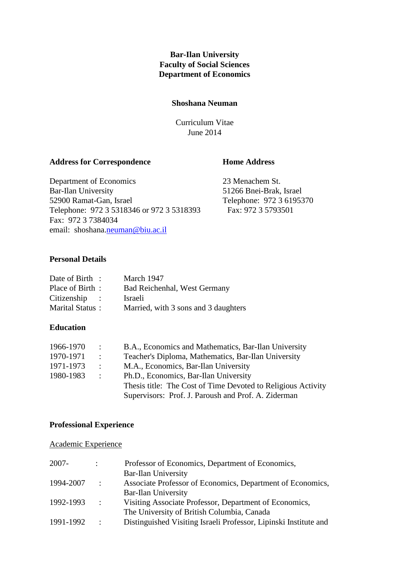**Bar-Ilan University Faculty of Social Sciences Department of Economics** 

# **Shoshana Neuman**

Curriculum Vitae June 2014

### Address for Correspondence **Home Address**

Department of Economics 23 Menachem St. Bar-Ilan University 51266 Bnei-Brak, Israel<br>52900 Ramat-Gan, Israel Telephone: 972 3 61953 Telephone: 972 3 5318346 or 972 3 5318393 Fax: 972 3 5793501 Fax: 972 3 7384034 email: shoshana.neuman@biu.ac.il

Telephone: 972 3 6195370

## **Personal Details**

| Date of Birth : | March 1947                           |
|-----------------|--------------------------------------|
| Place of Birth: | Bad Reichenhal, West Germany         |
| $Citizenship$ : | Israeli                              |
| Marital Status: | Married, with 3 sons and 3 daughters |

## **Education**

| 1966-1970 | $\mathcal{L}$ | B.A., Economics and Mathematics, Bar-Ilan University         |
|-----------|---------------|--------------------------------------------------------------|
| 1970-1971 | $\mathcal{L}$ | Teacher's Diploma, Mathematics, Bar-Ilan University          |
| 1971-1973 | $\mathcal{L}$ | M.A., Economics, Bar-Ilan University                         |
| 1980-1983 | $\sim$ $\sim$ | Ph.D., Economics, Bar-Ilan University                        |
|           |               | Thesis title: The Cost of Time Devoted to Religious Activity |
|           |               | Supervisors: Prof. J. Paroush and Prof. A. Ziderman          |

## **Professional Experience**

#### Academic Experience

| $2007 -$  | $\mathbb{R}^n$       | Professor of Economics, Department of Economics,                 |
|-----------|----------------------|------------------------------------------------------------------|
|           |                      | <b>Bar-Ilan University</b>                                       |
| 1994-2007 | $\mathcal{L}$        | Associate Professor of Economics, Department of Economics,       |
|           |                      | Bar-Ilan University                                              |
| 1992-1993 | $\mathbb{R}^n$       | Visiting Associate Professor, Department of Economics,           |
|           |                      | The University of British Columbia, Canada                       |
| 1991-1992 | $\ddot{\phantom{a}}$ | Distinguished Visiting Israeli Professor, Lipinski Institute and |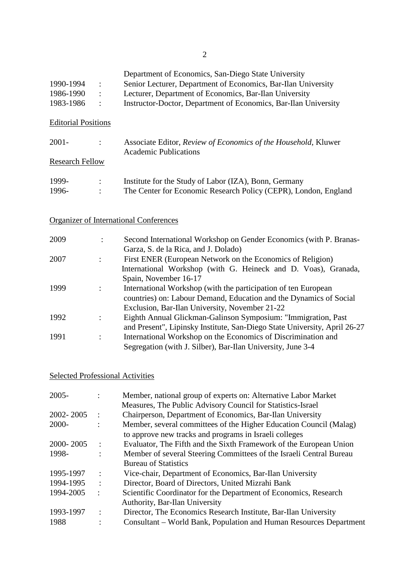|           |                 | Department of Economics, San-Diego State University             |
|-----------|-----------------|-----------------------------------------------------------------|
| 1990-1994 | $\mathcal{L}$   | Senior Lecturer, Department of Economics, Bar-Ilan University   |
| 1986-1990 | $\mathcal{F}$   | Lecturer, Department of Economics, Bar-Ilan University          |
| 1983-1986 | <b>Contract</b> | Instructor-Doctor, Department of Economics, Bar-Ilan University |

# Editorial Positions

| $2001 -$               | Associate Editor, Review of Economics of the Household, Kluwer<br><b>Academic Publications</b> |
|------------------------|------------------------------------------------------------------------------------------------|
| <b>Research Fellow</b> |                                                                                                |
| 1999-                  | Institute for the Study of Labor (IZA), Bonn, Germany                                          |
| 1996-                  | The Center for Economic Research Policy (CEPR), London, England                                |

# Organizer of International Conferences

| 2009 | Second International Workshop on Gender Economics (with P. Branas-        |
|------|---------------------------------------------------------------------------|
|      | Garza, S. de la Rica, and J. Dolado)                                      |
| 2007 | First ENER (European Network on the Economics of Religion)                |
|      | International Workshop (with G. Heineck and D. Voas), Granada,            |
|      | Spain, November 16-17                                                     |
| 1999 | International Workshop (with the participation of ten European            |
|      | countries) on: Labour Demand, Education and the Dynamics of Social        |
|      | Exclusion, Bar-Ilan University, November 21-22                            |
| 1992 | Eighth Annual Glickman-Galinson Symposium: "Immigration, Past             |
|      | and Present", Lipinsky Institute, San-Diego State University, April 26-27 |
| 1991 | International Workshop on the Economics of Discrimination and             |
|      | Segregation (with J. Silber), Bar-Ilan University, June 3-4               |

## Selected Professional Activities

|                | Member, national group of experts on: Alternative Labor Market      |
|----------------|---------------------------------------------------------------------|
|                | Measures, The Public Advisory Council for Statistics-Israel         |
| $\cdot$        | Chairperson, Department of Economics, Bar-Ilan University           |
|                | Member, several committees of the Higher Education Council (Malag)  |
|                | to approve new tracks and programs in Israeli colleges              |
|                | Evaluator, The Fifth and the Sixth Framework of the European Union  |
|                | Member of several Steering Committees of the Israeli Central Bureau |
|                | <b>Bureau of Statistics</b>                                         |
|                | Vice-chair, Department of Economics, Bar-Ilan University            |
| ٠              | Director, Board of Directors, United Mizrahi Bank                   |
| $\ddot{\cdot}$ | Scientific Coordinator for the Department of Economics, Research    |
|                | Authority, Bar-Ilan University                                      |
|                | Director, The Economics Research Institute, Bar-Ilan University     |
|                | Consultant – World Bank, Population and Human Resources Department  |
|                |                                                                     |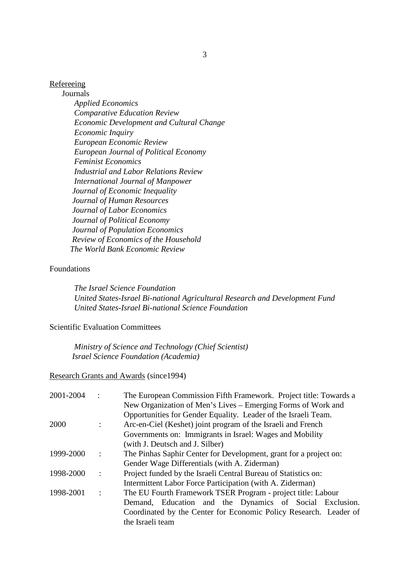## Refereeing

Journals  *Applied Economics Comparative Education Review Economic Development and Cultural Change Economic Inquiry European Economic Review European Journal of Political Economy Feminist Economics Industrial and Labor Relations Review International Journal of Manpower Journal of Economic Inequality Journal of Human Resources Journal of Labor Economics Journal of Political Economy Journal of Population Economics Review of Economics of the Household The World Bank Economic Review* 

# Foundations

 *The Israel Science Foundation United States-Israel Bi-national Agricultural Research and Development Fund United States-Israel Bi-national Science Foundation* 

# Scientific Evaluation Committees

 *Ministry of Science and Technology (Chief Scientist) Israel Science Foundation (Academia)* 

### Research Grants and Awards (since1994)

| 2001-2004 |                      | The European Commission Fifth Framework. Project title: Towards a<br>New Organization of Men's Lives – Emerging Forms of Work and |
|-----------|----------------------|-----------------------------------------------------------------------------------------------------------------------------------|
|           |                      | Opportunities for Gender Equality. Leader of the Israeli Team.                                                                    |
| 2000      |                      | Arc-en-Ciel (Keshet) joint program of the Israeli and French                                                                      |
|           |                      | Governments on: Immigrants in Israel: Wages and Mobility                                                                          |
|           |                      | (with J. Deutsch and J. Silber)                                                                                                   |
| 1999-2000 | $\ddot{\phantom{0}}$ | The Pinhas Saphir Center for Development, grant for a project on:                                                                 |
|           |                      | Gender Wage Differentials (with A. Ziderman)                                                                                      |
| 1998-2000 | $\ddot{\phantom{0}}$ | Project funded by the Israeli Central Bureau of Statistics on:                                                                    |
|           |                      | Intermittent Labor Force Participation (with A. Ziderman)                                                                         |
| 1998-2001 | $\ddot{\cdot}$       | The EU Fourth Framework TSER Program - project title: Labour                                                                      |
|           |                      | Demand, Education and the Dynamics of Social Exclusion.                                                                           |
|           |                      | Coordinated by the Center for Economic Policy Research. Leader of                                                                 |
|           |                      | the Israeli team                                                                                                                  |
|           |                      |                                                                                                                                   |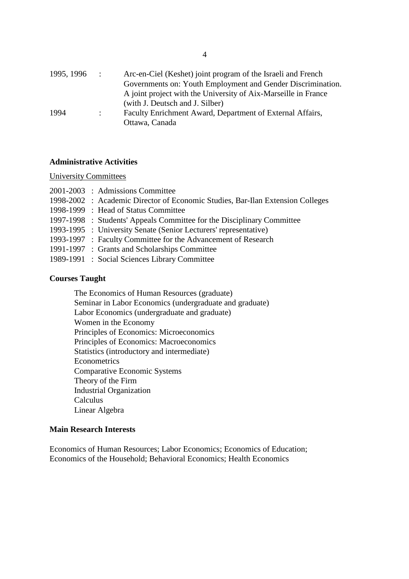| 1995, 1996 | $\sim$ 100 $\sim$         | Arc-en-Ciel (Keshet) joint program of the Israeli and French   |
|------------|---------------------------|----------------------------------------------------------------|
|            |                           | Governments on: Youth Employment and Gender Discrimination.    |
|            |                           | A joint project with the University of Aix-Marseille in France |
|            |                           | (with J. Deutsch and J. Silber)                                |
| 1994       | $\mathbb{R}^{\mathbb{Z}}$ | Faculty Enrichment Award, Department of External Affairs,      |
|            |                           | Ottawa, Canada                                                 |

#### **Administrative Activities**

University Committees

|  | 2001-2003 : Admissions Committee                                               |
|--|--------------------------------------------------------------------------------|
|  | 1998-2002 : Academic Director of Economic Studies, Bar-Ilan Extension Colleges |
|  | 1998-1999 : Head of Status Committee                                           |
|  | 1997-1998 : Students' Appeals Committee for the Disciplinary Committee         |
|  | 1993-1995 : University Senate (Senior Lecturers' representative)               |
|  | 1993-1997 : Faculty Committee for the Advancement of Research                  |
|  | 1991-1997 : Grants and Scholarships Committee                                  |
|  | 1989-1991 : Social Sciences Library Committee                                  |
|  |                                                                                |

## **Courses Taught**

The Economics of Human Resources (graduate) Seminar in Labor Economics (undergraduate and graduate) Labor Economics (undergraduate and graduate) Women in the Economy Principles of Economics: Microeconomics Principles of Economics: Macroeconomics Statistics (introductory and intermediate) **Econometrics** Comparative Economic Systems Theory of the Firm Industrial Organization Calculus Linear Algebra

#### **Main Research Interests**

Economics of Human Resources; Labor Economics; Economics of Education; Economics of the Household; Behavioral Economics; Health Economics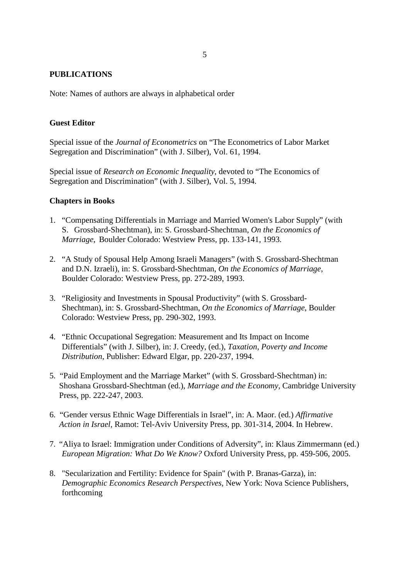# **PUBLICATIONS**

Note: Names of authors are always in alphabetical order

# **Guest Editor**

Special issue of the *Journal of Econometrics* on "The Econometrics of Labor Market Segregation and Discrimination" (with J. Silber), Vol. 61, 1994.

Special issue of *Research on Economic Inequality,* devoted to "The Economics of Segregation and Discrimination" (with J. Silber), Vol. 5, 1994.

# **Chapters in Books**

- 1. "Compensating Differentials in Marriage and Married Women's Labor Supply" (with S. Grossbard-Shechtman), in: S. Grossbard-Shechtman, *On the Economics of Marriage*, Boulder Colorado: Westview Press, pp. 133-141, 1993.
- 2. "A Study of Spousal Help Among Israeli Managers" (with S. Grossbard-Shechtman and D.N. Izraeli), in: S. Grossbard-Shechtman, *On the Economics of Marriage*, Boulder Colorado: Westview Press, pp. 272-289, 1993.
- 3. "Religiosity and Investments in Spousal Productivity" (with S. Grossbard-Shechtman), in: S. Grossbard-Shechtman, *On the Economics of Marriage*, Boulder Colorado: Westview Press, pp. 290-302, 1993.
- 4. "Ethnic Occupational Segregation: Measurement and Its Impact on Income Differentials" (with J. Silber), in: J. Creedy, (ed.), *Taxation, Poverty and Income Distribution*, Publisher: Edward Elgar, pp. 220-237, 1994.
- 5. "Paid Employment and the Marriage Market" (with S. Grossbard-Shechtman) in: Shoshana Grossbard-Shechtman (ed.), *Marriage and the Economy*, Cambridge University Press, pp. 222-247, 2003.
- 6. "Gender versus Ethnic Wage Differentials in Israel", in: A. Maor. (ed.) *Affirmative Action in Israel*, Ramot: Tel-Aviv University Press, pp. 301-314, 2004. In Hebrew.
- 7. "Aliya to Israel: Immigration under Conditions of Adversity", in: Klaus Zimmermann (ed.) *European Migration: What Do We Know?* Oxford University Press, pp. 459-506, 2005.
- 8. "Secularization and Fertility: Evidence for Spain" (with P. Branas-Garza), in: *Demographic Economics Research Perspectives*, New York: Nova Science Publishers, forthcoming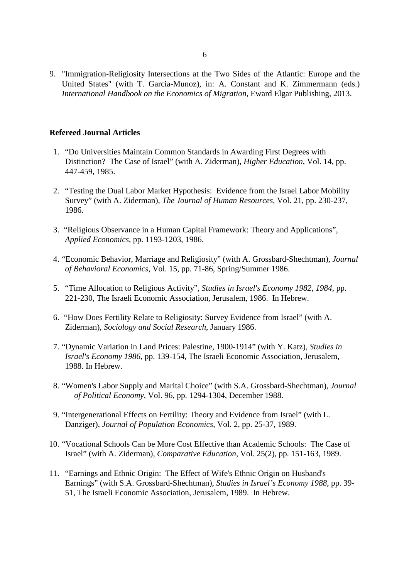9. "Immigration-Religiosity Intersections at the Two Sides of the Atlantic: Europe and the United States" (with T. Garcia-Munoz), in: A. Constant and K. Zimmermann (eds.) *International Handbook on the Economics of Migration*, Eward Elgar Publishing, 2013.

# **Refereed Journal Articles**

- 1. "Do Universities Maintain Common Standards in Awarding First Degrees with Distinction? The Case of Israel" (with A. Ziderman), *Higher Education*, Vol. 14, pp. 447-459, 1985.
- 2. "Testing the Dual Labor Market Hypothesis: Evidence from the Israel Labor Mobility Survey" (with A. Ziderman), *The Journal of Human Resources*, Vol. 21, pp. 230-237, 1986.
- 3. "Religious Observance in a Human Capital Framework: Theory and Applications", *Applied Economics*, pp. 1193-1203, 1986.
- 4. "Economic Behavior, Marriage and Religiosity" (with A. Grossbard-Shechtman), *Journal of Behavioral Economics*, Vol. 15, pp. 71-86, Spring/Summer 1986.
- 5. "Time Allocation to Religious Activity", *Studies in Israel's Economy 1982, 1984*, pp. 221-230, The Israeli Economic Association, Jerusalem, 1986. In Hebrew.
- 6. "How Does Fertility Relate to Religiosity: Survey Evidence from Israel" (with A. Ziderman), *Sociology and Social Research*, January 1986.
- 7. "Dynamic Variation in Land Prices: Palestine, 1900-1914" (with Y. Katz), *Studies in Israel's Economy 1986*, pp. 139-154, The Israeli Economic Association, Jerusalem, 1988. In Hebrew.
- 8. "Women's Labor Supply and Marital Choice" (with S.A. Grossbard-Shechtman), *Journal of Political Economy*, Vol. 96, pp. 1294-1304, December 1988.
- 9. "Intergenerational Effects on Fertility: Theory and Evidence from Israel" (with L. Danziger), *Journal of Population Economics*, Vol. 2, pp. 25-37, 1989.
- 10. "Vocational Schools Can be More Cost Effective than Academic Schools: The Case of Israel" (with A. Ziderman), *Comparative Education*, Vol. 25(2), pp. 151-163, 1989.
- 11. "Earnings and Ethnic Origin: The Effect of Wife's Ethnic Origin on Husband's Earnings" (with S.A. Grossbard-Shechtman), *Studies in Israel's Economy 1988*, pp. 39- 51, The Israeli Economic Association, Jerusalem, 1989. In Hebrew.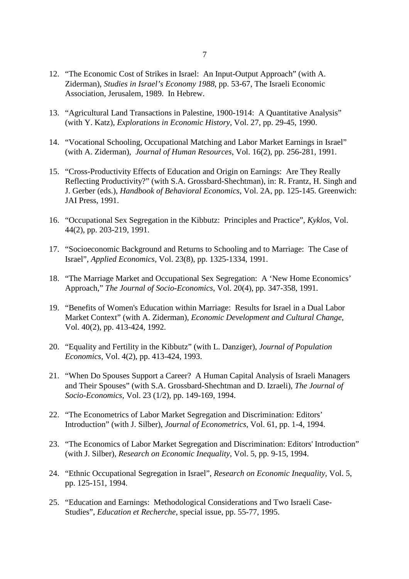- 12. "The Economic Cost of Strikes in Israel: An Input-Output Approach" (with A. Ziderman), *Studies in Israel's Economy 1988*, pp. 53-67, The Israeli Economic Association, Jerusalem, 1989. In Hebrew.
- 13. "Agricultural Land Transactions in Palestine, 1900-1914: A Quantitative Analysis" (with Y. Katz), *Explorations in Economic History*, Vol. 27, pp. 29-45, 1990.
- 14. "Vocational Schooling, Occupational Matching and Labor Market Earnings in Israel" (with A. Ziderman), *Journal of Human Resources*, Vol. 16(2), pp. 256-281, 1991.
- 15. "Cross-Productivity Effects of Education and Origin on Earnings: Are They Really Reflecting Productivity?" (with S.A. Grossbard-Shechtman), in: R. Frantz, H. Singh and J. Gerber (eds.), *Handbook of Behavioral Economics*, Vol. 2A, pp. 125-145. Greenwich: JAI Press, 1991.
- 16. "Occupational Sex Segregation in the Kibbutz: Principles and Practice", *Kyklos*, Vol. 44(2), pp. 203-219, 1991.
- 17. "Socioeconomic Background and Returns to Schooling and to Marriage: The Case of Israel", *Applied Economics,* Vol. 23(8), pp. 1325-1334, 1991.
- 18. "The Marriage Market and Occupational Sex Segregation: A 'New Home Economics' Approach," *The Journal of Socio-Economics*, Vol. 20(4), pp. 347-358, 1991.
- 19. "Benefits of Women's Education within Marriage: Results for Israel in a Dual Labor Market Context" (with A. Ziderman), *Economic Development and Cultural Change*, Vol. 40(2), pp. 413-424, 1992.
- 20. "Equality and Fertility in the Kibbutz" (with L. Danziger), *Journal of Population Economics*, Vol. 4(2), pp. 413-424, 1993.
- 21. "When Do Spouses Support a Career? A Human Capital Analysis of Israeli Managers and Their Spouses" (with S.A. Grossbard-Shechtman and D. Izraeli), *The Journal of Socio-Economics*, Vol. 23 (1/2), pp. 149-169, 1994.
- 22. "The Econometrics of Labor Market Segregation and Discrimination: Editors' Introduction" (with J. Silber), *Journal of Econometrics*, Vol. 61, pp. 1-4, 1994.
- 23. "The Economics of Labor Market Segregation and Discrimination: Editors' Introduction" (with J. Silber), *Research on Economic Inequality*, Vol. 5, pp. 9-15, 1994.
- 24. "Ethnic Occupational Segregation in Israel", *Research on Economic Inequality*, Vol. 5, pp. 125-151, 1994.
- 25. "Education and Earnings: Methodological Considerations and Two Israeli Case-Studies", *Education et Recherche*, special issue, pp. 55-77, 1995.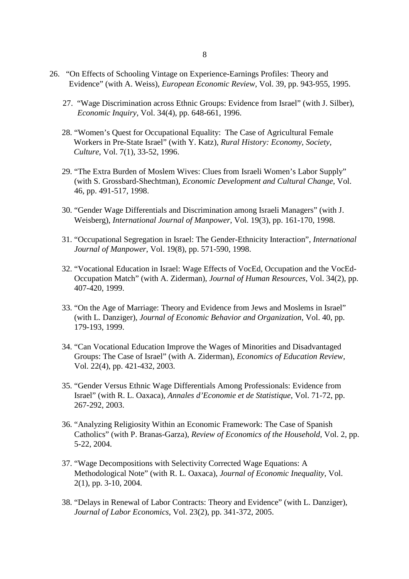- 26. "On Effects of Schooling Vintage on Experience-Earnings Profiles: Theory and Evidence" (with A. Weiss), *European Economic Review*, Vol. 39, pp. 943-955, 1995.
	- 27. "Wage Discrimination across Ethnic Groups: Evidence from Israel" (with J. Silber), *Economic Inquiry*, Vol. 34(4), pp. 648-661, 1996.
	- 28. "Women's Quest for Occupational Equality: The Case of Agricultural Female Workers in Pre-State Israel" (with Y. Katz), *Rural History: Economy, Society, Culture*, Vol. 7(1), 33-52, 1996.
	- 29. "The Extra Burden of Moslem Wives: Clues from Israeli Women's Labor Supply" (with S. Grossbard-Shechtman), *Economic Development and Cultural Change*, Vol. 46, pp. 491-517, 1998.
	- 30. "Gender Wage Differentials and Discrimination among Israeli Managers" (with J. Weisberg), *International Journal of Manpower*, Vol. 19(3), pp. 161-170, 1998.
	- 31. "Occupational Segregation in Israel: The Gender-Ethnicity Interaction", *International Journal of Manpower*, Vol. 19(8), pp. 571-590, 1998.
	- 32. "Vocational Education in Israel: Wage Effects of VocEd, Occupation and the VocEd-Occupation Match" (with A. Ziderman), *Journal of Human Resources*, Vol. 34(2), pp. 407-420, 1999.
	- 33. "On the Age of Marriage: Theory and Evidence from Jews and Moslems in Israel" (with L. Danziger), *Journal of Economic Behavior and Organization*, Vol. 40, pp. 179-193, 1999.
	- 34. "Can Vocational Education Improve the Wages of Minorities and Disadvantaged Groups: The Case of Israel" (with A. Ziderman), *Economics of Education Review,* Vol. 22(4), pp. 421-432, 2003.
	- 35. "Gender Versus Ethnic Wage Differentials Among Professionals: Evidence from Israel" (with R. L. Oaxaca), *Annales d'Economie et de Statistique*, Vol. 71-72, pp. 267-292, 2003.
	- 36. "Analyzing Religiosity Within an Economic Framework: The Case of Spanish Catholics" (with P. Branas-Garza), *Review of Economics of the Household*, Vol. 2, pp. 5-22, 2004.
	- 37. "Wage Decompositions with Selectivity Corrected Wage Equations: A Methodological Note" (with R. L. Oaxaca), *Journal of Economic Inequality*, Vol. 2(1), pp. 3-10, 2004.
	- 38. "Delays in Renewal of Labor Contracts: Theory and Evidence" (with L. Danziger), *Journal of Labor Economics*, Vol. 23(2), pp. 341-372, 2005.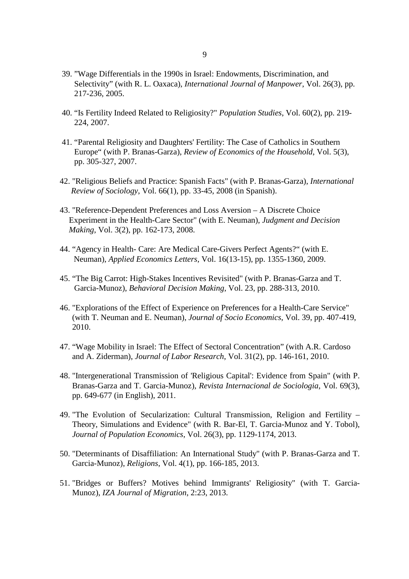- 39. "Wage Differentials in the 1990s in Israel: Endowments, Discrimination, and Selectivity" (with R. L. Oaxaca), *International Journal of Manpower*, Vol. 26(3), pp. 217-236, 2005.
- 40. "Is Fertility Indeed Related to Religiosity?" *Population Studies*, Vol. 60(2), pp. 219- 224, 2007.
- 41. "Parental Religiosity and Daughters' Fertility: The Case of Catholics in Southern Europe" (with P. Branas-Garza), *Review of Economics of the Household*, Vol. 5(3), pp. 305-327, 2007.
- 42. "Religious Beliefs and Practice: Spanish Facts" (with P. Branas-Garza), *International Review of Sociology*, Vol. 66(1), pp. 33-45, 2008 (in Spanish).
- 43. "Reference-Dependent Preferences and Loss Aversion A Discrete Choice Experiment in the Health-Care Sector" (with E. Neuman), *Judgment and Decision Making*, Vol. 3(2), pp. 162-173, 2008.
- 44. "Agency in Health- Care: Are Medical Care-Givers Perfect Agents?" (with E. Neuman), *Applied Economics Letters*, Vol. 16(13-15), pp. 1355-1360, 2009.
- 45. "The Big Carrot: High-Stakes Incentives Revisited" (with P. Branas-Garza and T. Garcia-Munoz), *Behavioral Decision Making*, Vol. 23, pp. 288-313, 2010.
- 46. "Explorations of the Effect of Experience on Preferences for a Health-Care Service" (with T. Neuman and E. Neuman), *Journal of Socio Economics*, Vol. 39, pp. 407-419, 2010.
- 47. "Wage Mobility in Israel: The Effect of Sectoral Concentration" (with A.R. Cardoso and A. Ziderman), *Journal of Labor Research*, Vol. 31(2), pp. 146-161, 2010.
- 48. "Intergenerational Transmission of 'Religious Capital': Evidence from Spain" (with P. Branas-Garza and T. Garcia-Munoz), *Revista Internacional de Sociologia*, Vol. 69(3), pp. 649-677 (in English), 2011.
- 49. "The Evolution of Secularization: Cultural Transmission, Religion and Fertility Theory, Simulations and Evidence" (with R. Bar-El, T. Garcia-Munoz and Y. Tobol), *Journal of Population Economics*, Vol. 26(3), pp. 1129-1174, 2013.
- 50. "Determinants of Disaffiliation: An International Study" (with P. Branas-Garza and T. Garcia-Munoz), *Religions*, Vol. 4(1), pp. 166-185, 2013.
- 51. "Bridges or Buffers? Motives behind Immigrants' Religiosity" (with T. Garcia-Munoz), *IZA Journal of Migration*, 2:23, 2013.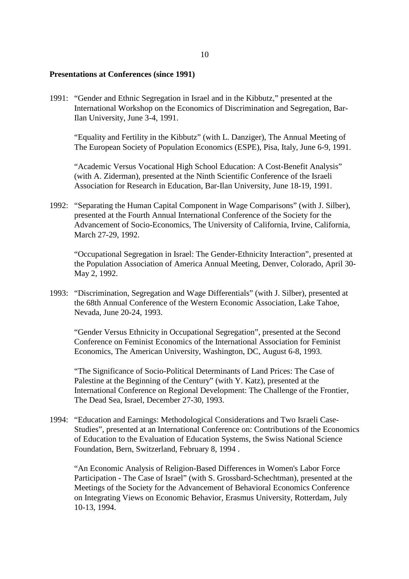# **Presentations at Conferences (since 1991)**

1991: "Gender and Ethnic Segregation in Israel and in the Kibbutz," presented at the International Workshop on the Economics of Discrimination and Segregation, Bar-Ilan University, June 3-4, 1991.

"Equality and Fertility in the Kibbutz" (with L. Danziger), The Annual Meeting of The European Society of Population Economics (ESPE), Pisa, Italy, June 6-9, 1991.

"Academic Versus Vocational High School Education: A Cost-Benefit Analysis" (with A. Ziderman), presented at the Ninth Scientific Conference of the Israeli Association for Research in Education, Bar-Ilan University, June 18-19, 1991.

1992: "Separating the Human Capital Component in Wage Comparisons" (with J. Silber), presented at the Fourth Annual International Conference of the Society for the Advancement of Socio-Economics, The University of California, Irvine, California, March 27-29, 1992.

"Occupational Segregation in Israel: The Gender-Ethnicity Interaction", presented at the Population Association of America Annual Meeting, Denver, Colorado, April 30- May 2, 1992.

1993: "Discrimination, Segregation and Wage Differentials" (with J. Silber), presented at the 68th Annual Conference of the Western Economic Association, Lake Tahoe, Nevada, June 20-24, 1993.

"Gender Versus Ethnicity in Occupational Segregation", presented at the Second Conference on Feminist Economics of the International Association for Feminist Economics, The American University, Washington, DC, August 6-8, 1993.

"The Significance of Socio-Political Determinants of Land Prices: The Case of Palestine at the Beginning of the Century" (with Y. Katz), presented at the International Conference on Regional Development: The Challenge of the Frontier, The Dead Sea, Israel, December 27-30, 1993.

1994: "Education and Earnings: Methodological Considerations and Two Israeli Case-Studies", presented at an International Conference on: Contributions of the Economics of Education to the Evaluation of Education Systems, the Swiss National Science Foundation, Bern, Switzerland, February 8, 1994 .

"An Economic Analysis of Religion-Based Differences in Women's Labor Force Participation - The Case of Israel" (with S. Grossbard-Schechtman), presented at the Meetings of the Society for the Advancement of Behavioral Economics Conference on Integrating Views on Economic Behavior, Erasmus University, Rotterdam, July 10-13, 1994.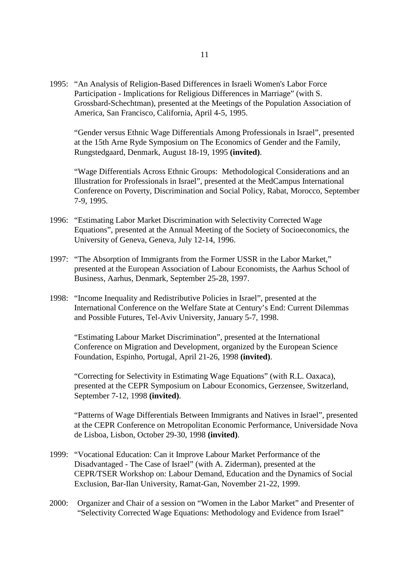1995: "An Analysis of Religion-Based Differences in Israeli Women's Labor Force Participation - Implications for Religious Differences in Marriage" (with S. Grossbard-Schechtman), presented at the Meetings of the Population Association of America, San Francisco, California, April 4-5, 1995.

"Gender versus Ethnic Wage Differentials Among Professionals in Israel", presented at the 15th Arne Ryde Symposium on The Economics of Gender and the Family, Rungstedgaard, Denmark, August 18-19, 1995 **(invited)**.

"Wage Differentials Across Ethnic Groups: Methodological Considerations and an Illustration for Professionals in Israel", presented at the MedCampus International Conference on Poverty, Discrimination and Social Policy, Rabat, Morocco, September 7-9, 1995.

- 1996: "Estimating Labor Market Discrimination with Selectivity Corrected Wage Equations", presented at the Annual Meeting of the Society of Socioeconomics, the University of Geneva, Geneva, July 12-14, 1996.
- 1997: "The Absorption of Immigrants from the Former USSR in the Labor Market," presented at the European Association of Labour Economists, the Aarhus School of Business, Aarhus, Denmark, September 25-28, 1997.
- 1998: "Income Inequality and Redistributive Policies in Israel", presented at the International Conference on the Welfare State at Century's End: Current Dilemmas and Possible Futures, Tel-Aviv University, January 5-7, 1998.

"Estimating Labour Market Discrimination", presented at the International Conference on Migration and Development, organized by the European Science Foundation, Espinho, Portugal, April 21-26, 1998 **(invited)**.

"Correcting for Selectivity in Estimating Wage Equations" (with R.L. Oaxaca), presented at the CEPR Symposium on Labour Economics, Gerzensee, Switzerland, September 7-12, 1998 **(invited)**.

"Patterns of Wage Differentials Between Immigrants and Natives in Israel", presented at the CEPR Conference on Metropolitan Economic Performance, Universidade Nova de Lisboa, Lisbon, October 29-30, 1998 **(invited)**.

- 1999: "Vocational Education: Can it Improve Labour Market Performance of the Disadvantaged - The Case of Israel" (with A. Ziderman), presented at the CEPR/TSER Workshop on: Labour Demand, Education and the Dynamics of Social Exclusion, Bar-Ilan University, Ramat-Gan, November 21-22, 1999.
- 2000: Organizer and Chair of a session on "Women in the Labor Market" and Presenter of "Selectivity Corrected Wage Equations: Methodology and Evidence from Israel"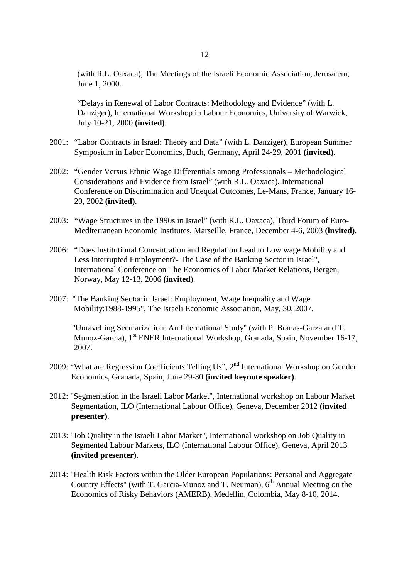(with R.L. Oaxaca), The Meetings of the Israeli Economic Association, Jerusalem, June 1, 2000.

 "Delays in Renewal of Labor Contracts: Methodology and Evidence" (with L. Danziger), International Workshop in Labour Economics, University of Warwick, July 10-21, 2000 **(invited)**.

- 2001: "Labor Contracts in Israel: Theory and Data" (with L. Danziger), European Summer Symposium in Labor Economics, Buch, Germany, April 24-29, 2001 **(invited)**.
- 2002: "Gender Versus Ethnic Wage Differentials among Professionals Methodological Considerations and Evidence from Israel" (with R.L. Oaxaca), International Conference on Discrimination and Unequal Outcomes, Le-Mans, France, January 16- 20, 2002 **(invited)**.
- 2003: "Wage Structures in the 1990s in Israel" (with R.L. Oaxaca), Third Forum of Euro- Mediterranean Economic Institutes, Marseille, France, December 4-6, 2003 **(invited)**.
- 2006: "Does Institutional Concentration and Regulation Lead to Low wage Mobility and Less Interrupted Employment?- The Case of the Banking Sector in Israel", International Conference on The Economics of Labor Market Relations, Bergen, Norway, May 12-13, 2006 **(invited**).
- 2007: "The Banking Sector in Israel: Employment, Wage Inequality and Wage Mobility:1988-1995", The Israeli Economic Association, May, 30, 2007.

 "Unravelling Secularization: An International Study" (with P. Branas-Garza and T. Munoz-Garcia), 1<sup>st</sup> ENER International Workshop, Granada, Spain, November 16-17, 2007.

- 2009: "What are Regression Coefficients Telling Us",  $2<sup>nd</sup>$  International Workshop on Gender Economics, Granada, Spain, June 29-30 **(invited keynote speaker)**.
- 2012: "Segmentation in the Israeli Labor Market", International workshop on Labour Market Segmentation, ILO (International Labour Office), Geneva, December 2012 **(invited presenter)**.
- 2013: "Job Quality in the Israeli Labor Market", International workshop on Job Quality in Segmented Labour Markets, ILO (International Labour Office), Geneva, April 2013 **(invited presenter)**.
- 2014: "Health Risk Factors within the Older European Populations: Personal and Aggregate Country Effects" (with T. Garcia-Munoz and T. Neuman),  $6<sup>th</sup>$  Annual Meeting on the Economics of Risky Behaviors (AMERB), Medellin, Colombia, May 8-10, 2014.